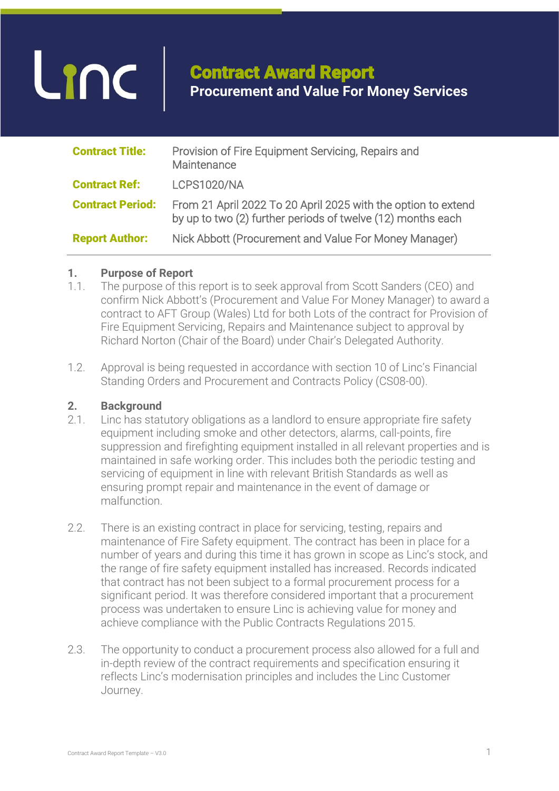# Linc

## Contract Award Report **Procurement and Value For Money Services**

| <b>Contract Title:</b>  | Provision of Fire Equipment Servicing, Repairs and<br>Maintenance                                                            |
|-------------------------|------------------------------------------------------------------------------------------------------------------------------|
| <b>Contract Ref:</b>    | <b>LCPS1020/NA</b>                                                                                                           |
| <b>Contract Period:</b> | From 21 April 2022 To 20 April 2025 with the option to extend<br>by up to two (2) further periods of twelve (12) months each |
| <b>Report Author:</b>   | Nick Abbott (Procurement and Value For Money Manager)                                                                        |

#### **1. Purpose of Report**

- 1.1. The purpose of this report is to seek approval from Scott Sanders (CEO) and confirm Nick Abbott's (Procurement and Value For Money Manager) to award a contract to AFT Group (Wales) Ltd for both Lots of the contract for Provision of Fire Equipment Servicing, Repairs and Maintenance subject to approval by Richard Norton (Chair of the Board) under Chair's Delegated Authority.
- 1.2. Approval is being requested in accordance with section 10 of Linc's Financial Standing Orders and Procurement and Contracts Policy (CS08-00).

#### **2. Background**

- 2.1. Linc has statutory obligations as a landlord to ensure appropriate fire safety equipment including smoke and other detectors, alarms, call-points, fire suppression and firefighting equipment installed in all relevant properties and is maintained in safe working order. This includes both the periodic testing and servicing of equipment in line with relevant British Standards as well as ensuring prompt repair and maintenance in the event of damage or malfunction.
- 2.2. There is an existing contract in place for servicing, testing, repairs and maintenance of Fire Safety equipment. The contract has been in place for a number of years and during this time it has grown in scope as Linc's stock, and the range of fire safety equipment installed has increased. Records indicated that contract has not been subject to a formal procurement process for a significant period. It was therefore considered important that a procurement process was undertaken to ensure Linc is achieving value for money and achieve compliance with the Public Contracts Regulations 2015.
- 2.3. The opportunity to conduct a procurement process also allowed for a full and in-depth review of the contract requirements and specification ensuring it reflects Linc's modernisation principles and includes the Linc Customer Journey.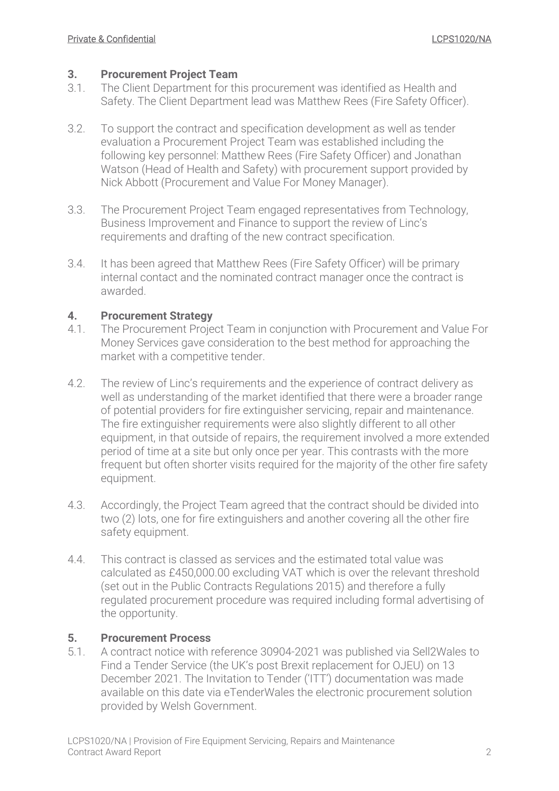#### **3. Procurement Project Team**

- 3.1. The Client Department for this procurement was identified as Health and Safety. The Client Department lead was Matthew Rees (Fire Safety Officer).
- 3.2. To support the contract and specification development as well as tender evaluation a Procurement Project Team was established including the following key personnel: Matthew Rees (Fire Safety Officer) and Jonathan Watson (Head of Health and Safety) with procurement support provided by Nick Abbott (Procurement and Value For Money Manager).
- 3.3. The Procurement Project Team engaged representatives from Technology, Business Improvement and Finance to support the review of Linc's requirements and drafting of the new contract specification.
- 3.4. It has been agreed that Matthew Rees (Fire Safety Officer) will be primary internal contact and the nominated contract manager once the contract is awarded.

#### **4. Procurement Strategy**

- 4.1. The Procurement Project Team in conjunction with Procurement and Value For Money Services gave consideration to the best method for approaching the market with a competitive tender.
- 4.2. The review of Linc's requirements and the experience of contract delivery as well as understanding of the market identified that there were a broader range of potential providers for fire extinguisher servicing, repair and maintenance. The fire extinguisher requirements were also slightly different to all other equipment, in that outside of repairs, the requirement involved a more extended period of time at a site but only once per year. This contrasts with the more frequent but often shorter visits required for the majority of the other fire safety equipment.
- 4.3. Accordingly, the Project Team agreed that the contract should be divided into two (2) lots, one for fire extinguishers and another covering all the other fire safety equipment.
- 4.4. This contract is classed as services and the estimated total value was calculated as £450,000.00 excluding VAT which is over the relevant threshold (set out in the Public Contracts Regulations 2015) and therefore a fully regulated procurement procedure was required including formal advertising of the opportunity.

#### **5. Procurement Process**

5.1. A contract notice with reference 30904-2021 was published via Sell2Wales to Find a Tender Service (the UK's post Brexit replacement for OJEU) on 13 December 2021. The Invitation to Tender ('ITT') documentation was made available on this date via eTenderWales the electronic procurement solution provided by Welsh Government.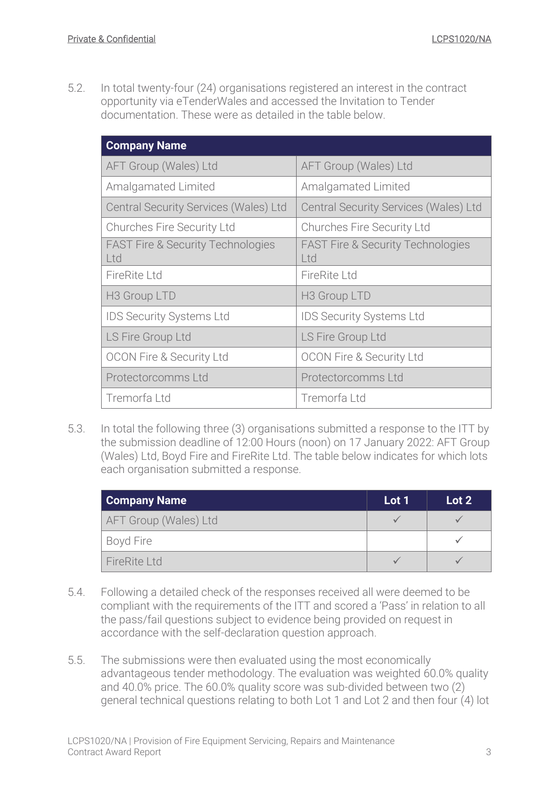5.2. In total twenty-four (24) organisations registered an interest in the contract opportunity via eTenderWales and accessed the Invitation to Tender documentation. These were as detailed in the table below.

| <b>Company Name</b>                                 |                                                     |
|-----------------------------------------------------|-----------------------------------------------------|
| AFT Group (Wales) Ltd                               | AFT Group (Wales) Ltd                               |
| <b>Amalgamated Limited</b>                          | <b>Amalgamated Limited</b>                          |
| <b>Central Security Services (Wales) Ltd</b>        | Central Security Services (Wales) Ltd               |
| <b>Churches Fire Security Ltd</b>                   | <b>Churches Fire Security Ltd</b>                   |
| <b>FAST Fire &amp; Security Technologies</b><br>Ltd | <b>FAST Fire &amp; Security Technologies</b><br>Ltd |
| <b>FireRite Ltd</b>                                 | FireRite Ltd                                        |
| H <sub>3</sub> Group LTD                            | H <sub>3</sub> Group LTD                            |
| <b>IDS Security Systems Ltd</b>                     | <b>IDS Security Systems Ltd</b>                     |
| LS Fire Group Ltd                                   | LS Fire Group Ltd                                   |
| <b>OCON Fire &amp; Security Ltd</b>                 | <b>OCON Fire &amp; Security Ltd</b>                 |
| Protectorcomms Ltd                                  | Protectorcomms Ltd                                  |
| Tremorfa Ltd                                        | Tremorfa Ltd                                        |

5.3. In total the following three (3) organisations submitted a response to the ITT by the submission deadline of 12:00 Hours (noon) on 17 January 2022: AFT Group (Wales) Ltd, Boyd Fire and FireRite Ltd. The table below indicates for which lots each organisation submitted a response.

| <b>Company Name</b>   | Lot 1 | Lot 2 |
|-----------------------|-------|-------|
| AFT Group (Wales) Ltd |       |       |
| Boyd Fire             |       |       |
| FireRite Ltd          |       |       |

- 5.4. Following a detailed check of the responses received all were deemed to be compliant with the requirements of the ITT and scored a 'Pass' in relation to all the pass/fail questions subject to evidence being provided on request in accordance with the self-declaration question approach.
- 5.5. The submissions were then evaluated using the most economically advantageous tender methodology. The evaluation was weighted 60.0% quality and 40.0% price. The 60.0% quality score was sub-divided between two (2) general technical questions relating to both Lot 1 and Lot 2 and then four (4) lot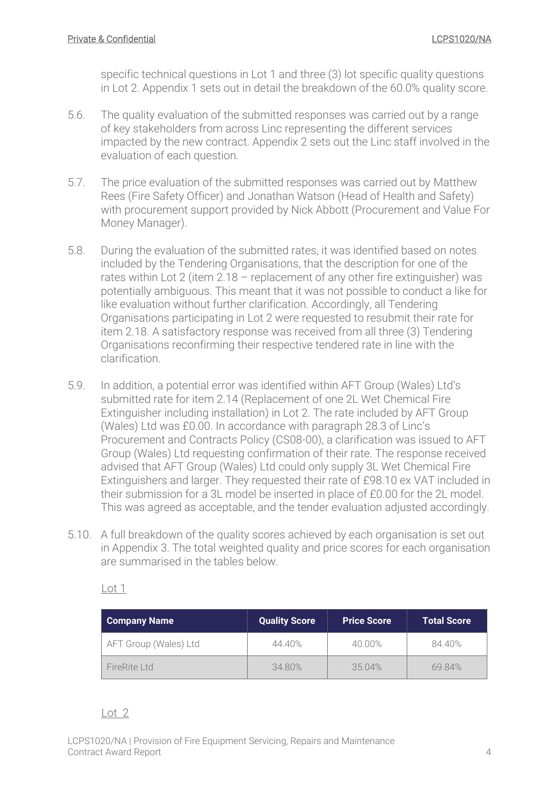specific technical questions in Lot 1 and three (3) lot specific quality questions in Lot 2. [Appendix 1](#page-7-0) sets out in detail the breakdown of the 60.0% quality score.

- 5.6. The quality evaluation of the submitted responses was carried out by a range of key stakeholders from across Linc representing the different services impacted by the new contract. [Appendix 2](#page-8-0) sets out the Linc staff involved in the evaluation of each question.
- 5.7. The price evaluation of the submitted responses was carried out by Matthew Rees (Fire Safety Officer) and Jonathan Watson (Head of Health and Safety) with procurement support provided by Nick Abbott (Procurement and Value For Money Manager).
- 5.8. During the evaluation of the submitted rates, it was identified based on notes included by the Tendering Organisations, that the description for one of the rates within Lot 2 (item  $2.18$  – replacement of any other fire extinguisher) was potentially ambiguous. This meant that it was not possible to conduct a like for like evaluation without further clarification. Accordingly, all Tendering Organisations participating in Lot 2 were requested to resubmit their rate for item 2.18. A satisfactory response was received from all three (3) Tendering Organisations reconfirming their respective tendered rate in line with the clarification.
- 5.9. In addition, a potential error was identified within AFT Group (Wales) Ltd's submitted rate for item 2.14 (Replacement of one 2L Wet Chemical Fire Extinguisher including installation) in Lot 2. The rate included by AFT Group (Wales) Ltd was £0.00. In accordance with paragraph 28.3 of Linc's Procurement and Contracts Policy (CS08-00), a clarification was issued to AFT Group (Wales) Ltd requesting confirmation of their rate. The response received advised that AFT Group (Wales) Ltd could only supply 3L Wet Chemical Fire Extinguishers and larger. They requested their rate of £98.10 ex VAT included in their submission for a 3L model be inserted in place of £0.00 for the 2L model. This was agreed as acceptable, and the tender evaluation adjusted accordingly.
- 5.10. A full breakdown of the quality scores achieved by each organisation is set out in [Appendix 3.](#page-9-0) The total weighted quality and price scores for each organisation are summarised in the tables below.

Lot 1

| <b>Company Name</b>   | Quality Score | <b>Price Score</b> | <b>Total Score</b> |
|-----------------------|---------------|--------------------|--------------------|
| AFT Group (Wales) Ltd | 44.40%        | 40.00%             | 84.40%             |
| FireRite Ltd          | 34.80%        | 35.04%             | 69.84%             |

#### Lot 2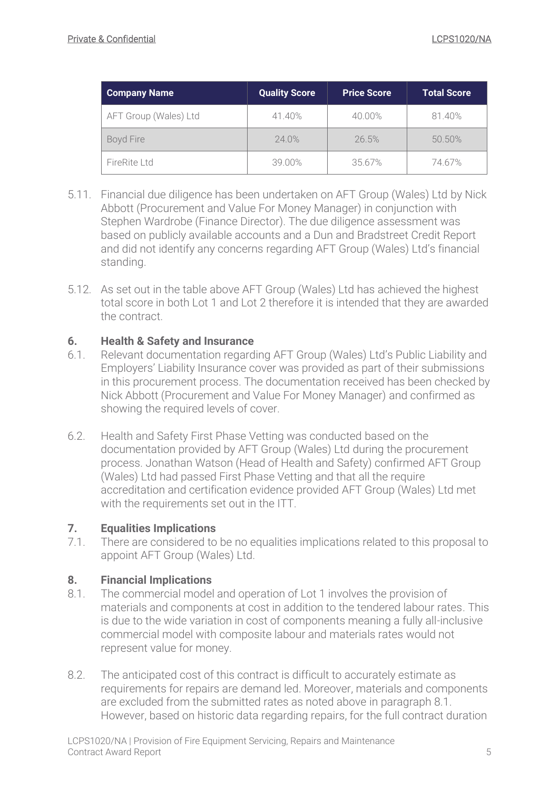| <b>Company Name</b>   | <b>Quality Score</b> | <b>Price Score</b> | <b>Total Score</b> |  |
|-----------------------|----------------------|--------------------|--------------------|--|
| AFT Group (Wales) Ltd | 41.40%               | 40.00%             | 81.40%             |  |
| Boyd Fire             | 24.0%                | 26.5%              | 50.50%             |  |
| FireRite Ltd          | 39.00%               | 35.67%             | 74.67%             |  |

- 5.11. Financial due diligence has been undertaken on AFT Group (Wales) Ltd by Nick Abbott (Procurement and Value For Money Manager) in conjunction with Stephen Wardrobe (Finance Director). The due diligence assessment was based on publicly available accounts and a Dun and Bradstreet Credit Report and did not identify any concerns regarding AFT Group (Wales) Ltd's financial standing.
- 5.12. As set out in the table above AFT Group (Wales) Ltd has achieved the highest total score in both Lot 1 and Lot 2 therefore it is intended that they are awarded the contract.

#### **6. Health & Safety and Insurance**

- 6.1. Relevant documentation regarding AFT Group (Wales) Ltd's Public Liability and Employers' Liability Insurance cover was provided as part of their submissions in this procurement process. The documentation received has been checked by Nick Abbott (Procurement and Value For Money Manager) and confirmed as showing the required levels of cover.
- 6.2. Health and Safety First Phase Vetting was conducted based on the documentation provided by AFT Group (Wales) Ltd during the procurement process. Jonathan Watson (Head of Health and Safety) confirmed AFT Group (Wales) Ltd had passed First Phase Vetting and that all the require accreditation and certification evidence provided AFT Group (Wales) Ltd met with the requirements set out in the ITT.

#### **7. Equalities Implications**

7.1. There are considered to be no equalities implications related to this proposal to appoint AFT Group (Wales) Ltd.

#### **8. Financial Implications**

- <span id="page-4-0"></span>8.1. The commercial model and operation of Lot 1 involves the provision of materials and components at cost in addition to the tendered labour rates. This is due to the wide variation in cost of components meaning a fully all-inclusive commercial model with composite labour and materials rates would not represent value for money.
- 8.2. The anticipated cost of this contract is difficult to accurately estimate as requirements for repairs are demand led. Moreover, materials and components are excluded from the submitted rates as noted above in paragraph [8.1.](#page-4-0) However, based on historic data regarding repairs, for the full contract duration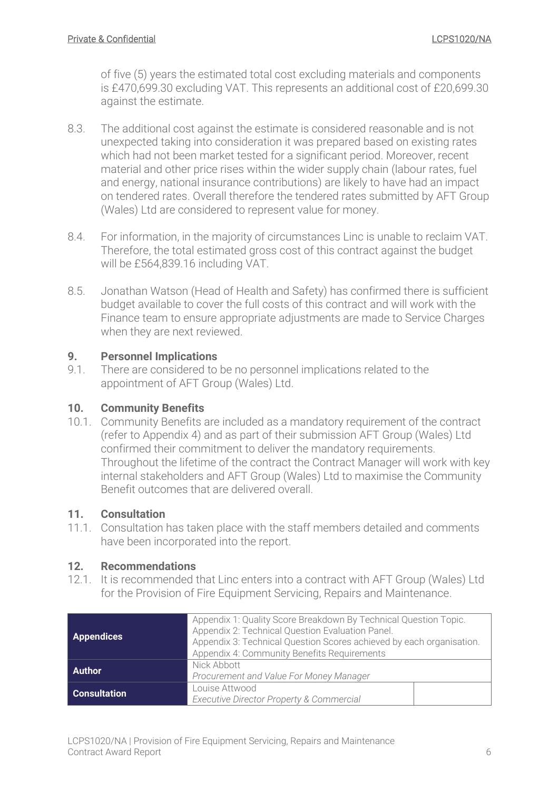of five (5) years the estimated total cost excluding materials and components is £470,699.30 excluding VAT. This represents an additional cost of £20,699.30 against the estimate.

- 8.3. The additional cost against the estimate is considered reasonable and is not unexpected taking into consideration it was prepared based on existing rates which had not been market tested for a significant period. Moreover, recent material and other price rises within the wider supply chain (labour rates, fuel and energy, national insurance contributions) are likely to have had an impact on tendered rates. Overall therefore the tendered rates submitted by AFT Group (Wales) Ltd are considered to represent value for money.
- 8.4. For information, in the majority of circumstances Linc is unable to reclaim VAT. Therefore, the total estimated gross cost of this contract against the budget will be £564,839.16 including VAT.
- 8.5. Jonathan Watson (Head of Health and Safety) has confirmed there is sufficient budget available to cover the full costs of this contract and will work with the Finance team to ensure appropriate adjustments are made to Service Charges when they are next reviewed.

#### **9. Personnel Implications**

9.1. There are considered to be no personnel implications related to the appointment of AFT Group (Wales) Ltd.

#### **10. Community Benefits**

10.1. Community Benefits are included as a mandatory requirement of the contract (refer to Appendix 4) and as part of their submission AFT Group (Wales) Ltd confirmed their commitment to deliver the mandatory requirements. Throughout the lifetime of the contract the Contract Manager will work with key internal stakeholders and AFT Group (Wales) Ltd to maximise the Community Benefit outcomes that are delivered overall.

#### **11. Consultation**

11.1. Consultation has taken place with the staff members detailed and comments have been incorporated into the report.

#### **12. Recommendations**

12.1. It is recommended that Linc enters into a contract with AFT Group (Wales) Ltd for the Provision of Fire Equipment Servicing, Repairs and Maintenance.

| <b>Appendices</b>   | Appendix 1: Quality Score Breakdown By Technical Question Topic.<br>Appendix 2: Technical Question Evaluation Panel.<br>Appendix 3: Technical Question Scores achieved by each organisation.<br>Appendix 4: Community Benefits Requirements |  |  |
|---------------------|---------------------------------------------------------------------------------------------------------------------------------------------------------------------------------------------------------------------------------------------|--|--|
| Author              | Nick Abbott<br>Procurement and Value For Money Manager                                                                                                                                                                                      |  |  |
| <b>Consultation</b> | Louise Attwood<br>Executive Director Property & Commercial                                                                                                                                                                                  |  |  |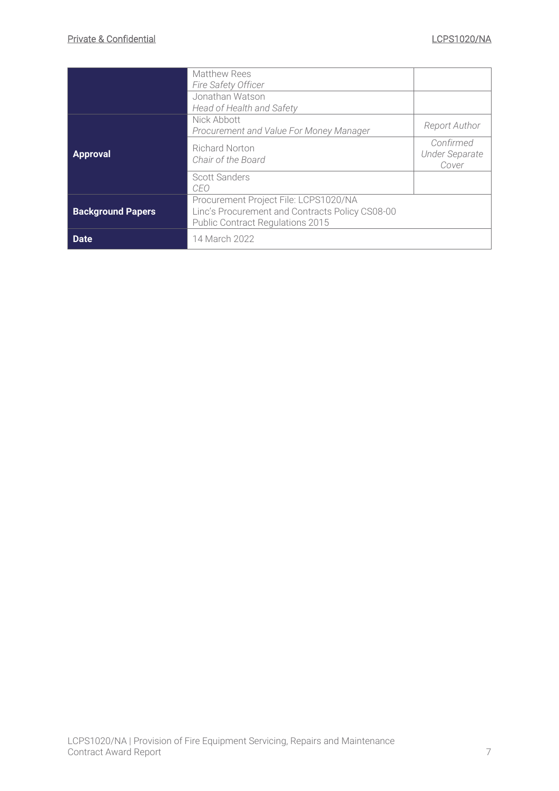|                          | <b>Matthew Rees</b><br><b>Fire Safety Officer</b>                                                                                   |                                             |
|--------------------------|-------------------------------------------------------------------------------------------------------------------------------------|---------------------------------------------|
|                          | Jonathan Watson<br>Head of Health and Safety                                                                                        |                                             |
|                          | Nick Abbott<br>Procurement and Value For Money Manager                                                                              | Report Author                               |
| <b>Approval</b>          | <b>Richard Norton</b><br>Chair of the Board                                                                                         | Confirmed<br><b>Under Separate</b><br>Cover |
|                          | Scott Sanders<br>CEO                                                                                                                |                                             |
| <b>Background Papers</b> | Procurement Project File: LCPS1020/NA<br>Linc's Procurement and Contracts Policy CS08-00<br><b>Public Contract Regulations 2015</b> |                                             |
| <b>Date</b>              | 14 March 2022                                                                                                                       |                                             |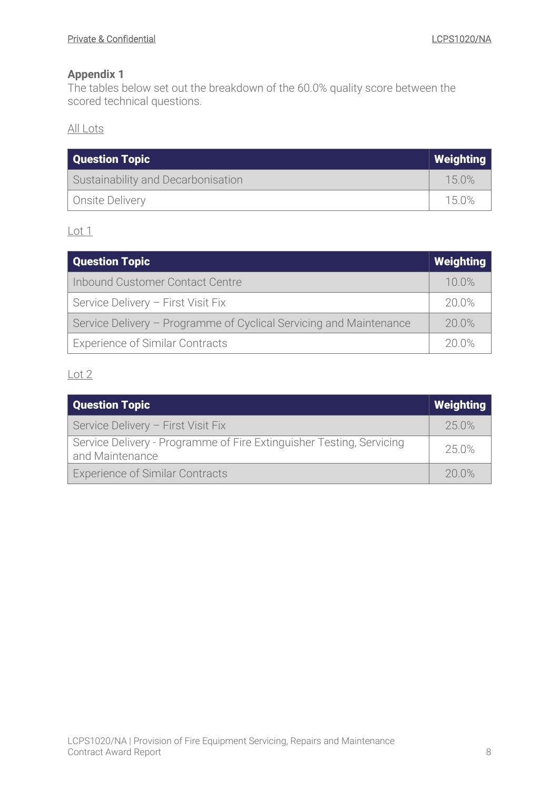<span id="page-7-0"></span>The tables below set out the breakdown of the 60.0% quality score between the scored technical questions.

All Lots

| Question Topic<br>  Weighting      |       |
|------------------------------------|-------|
| Sustainability and Decarbonisation | 150%  |
| Onsite Delivery                    | 15.0% |

Lot 1

| Question Topic                                                     |          |  |
|--------------------------------------------------------------------|----------|--|
| Inbound Customer Contact Centre                                    | $10.0\%$ |  |
| Service Delivery - First Visit Fix                                 | 20.0%    |  |
| Service Delivery - Programme of Cyclical Servicing and Maintenance | 20.0%    |  |
| <b>Experience of Similar Contracts</b>                             | 20.0%    |  |

Lot 2

| Question Topic                                                                          | Weighting |
|-----------------------------------------------------------------------------------------|-----------|
| Service Delivery - First Visit Fix                                                      | 250%      |
| Service Delivery - Programme of Fire Extinguisher Testing, Servicing<br>and Maintenance | 25.0%     |
| <b>Experience of Similar Contracts</b>                                                  | 20.0%     |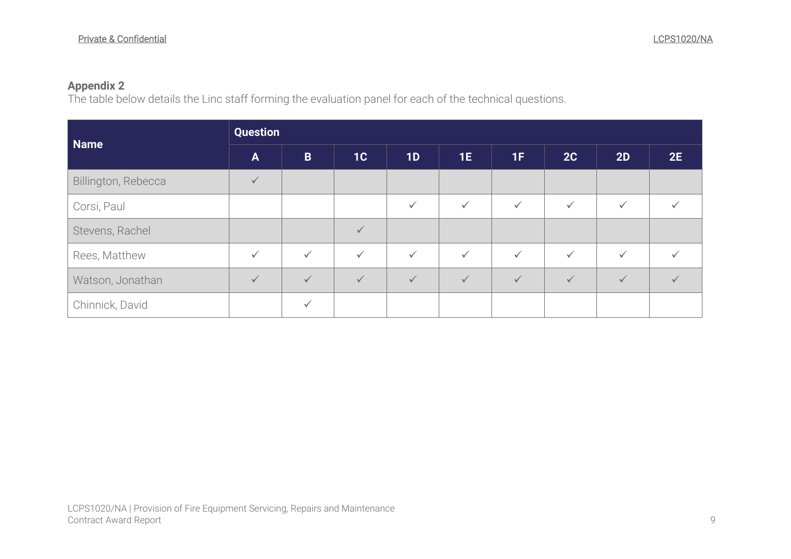The table below details the Linc staff forming the evaluation panel for each of the technical questions.

<span id="page-8-0"></span>

| Name                | <b>Question</b> |              |              |              |              |              |              |              |              |
|---------------------|-----------------|--------------|--------------|--------------|--------------|--------------|--------------|--------------|--------------|
|                     | $\mathbf{A}$    | $\mathbf B$  | 1C           | 1D           | 1E           | 1F           | 2C           | 2D           | 2E           |
| Billington, Rebecca | $\checkmark$    |              |              |              |              |              |              |              |              |
| Corsi, Paul         |                 |              |              | $\checkmark$ | $\checkmark$ | $\checkmark$ | $\checkmark$ | $\checkmark$ |              |
| Stevens, Rachel     |                 |              | $\checkmark$ |              |              |              |              |              |              |
| Rees, Matthew       | $\checkmark$    | $\checkmark$ | $\checkmark$ | $\checkmark$ | $\checkmark$ | $\checkmark$ | $\checkmark$ | $\checkmark$ |              |
| Watson, Jonathan    | $\checkmark$    | $\checkmark$ | $\sqrt{}$    | $\sqrt{}$    | $\checkmark$ | $\sqrt{}$    | $\checkmark$ | $\checkmark$ | $\checkmark$ |
| Chinnick, David     |                 | ✓            |              |              |              |              |              |              |              |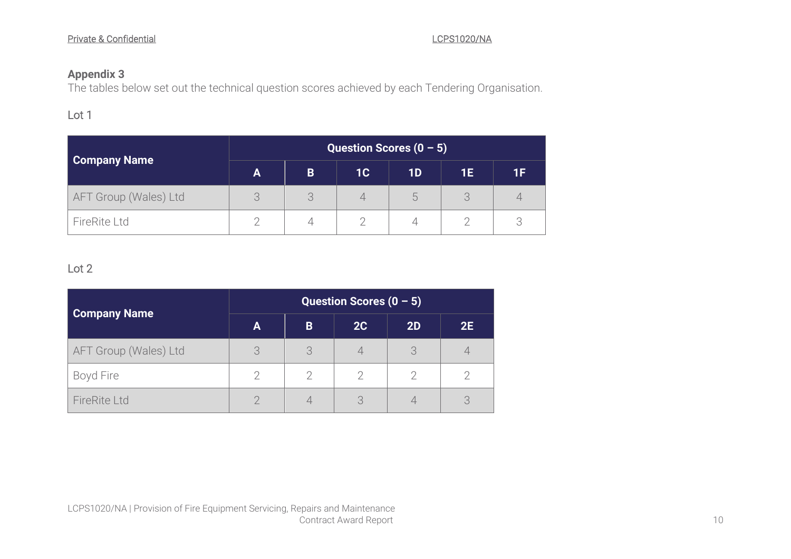The tables below set out the technical question scores achieved by each Tendering Organisation.

### Lot 1

|                       | Question Scores $(0 - 5)$ |   |                |    |    |    |  |
|-----------------------|---------------------------|---|----------------|----|----|----|--|
| <b>Company Name</b>   | A                         | B | 1 <sub>C</sub> | 1D | 1E | 1F |  |
| AFT Group (Wales) Ltd |                           |   |                | h, |    |    |  |
| FireRite Ltd          |                           |   |                |    |    |    |  |

#### Lot 2

<span id="page-9-0"></span>

| <b>Company Name</b>   | Question Scores $(0 - 5)$ |   |    |    |    |
|-----------------------|---------------------------|---|----|----|----|
|                       | A                         | B | 2C | 2D | 2E |
| AFT Group (Wales) Ltd | 3                         | 3 |    |    |    |
| Boyd Fire             |                           |   |    |    |    |
| <b>FireRite Ltd</b>   |                           |   |    |    |    |